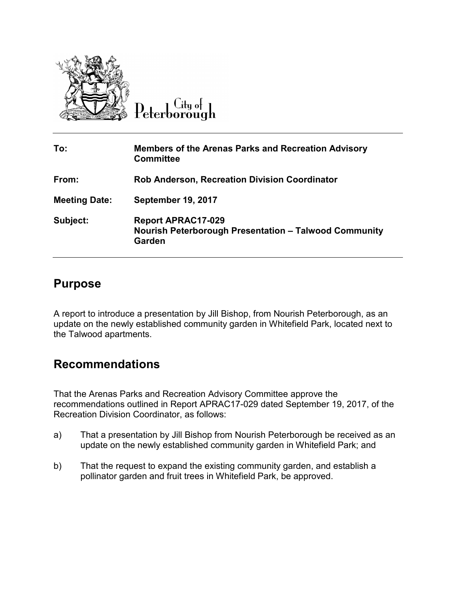

 $\overline{C}$ ity of Peterborough

| To:                  | <b>Members of the Arenas Parks and Recreation Advisory</b><br><b>Committee</b>                      |
|----------------------|-----------------------------------------------------------------------------------------------------|
| From:                | <b>Rob Anderson, Recreation Division Coordinator</b>                                                |
| <b>Meeting Date:</b> | <b>September 19, 2017</b>                                                                           |
| Subject:             | <b>Report APRAC17-029</b><br><b>Nourish Peterborough Presentation - Talwood Community</b><br>Garden |

## **Purpose**

A report to introduce a presentation by Jill Bishop, from Nourish Peterborough, as an update on the newly established community garden in Whitefield Park, located next to the Talwood apartments.

## **Recommendations**

That the Arenas Parks and Recreation Advisory Committee approve the recommendations outlined in Report APRAC17-029 dated September 19, 2017, of the Recreation Division Coordinator, as follows:

- a) That a presentation by Jill Bishop from Nourish Peterborough be received as an update on the newly established community garden in Whitefield Park; and
- b) That the request to expand the existing community garden, and establish a pollinator garden and fruit trees in Whitefield Park, be approved.